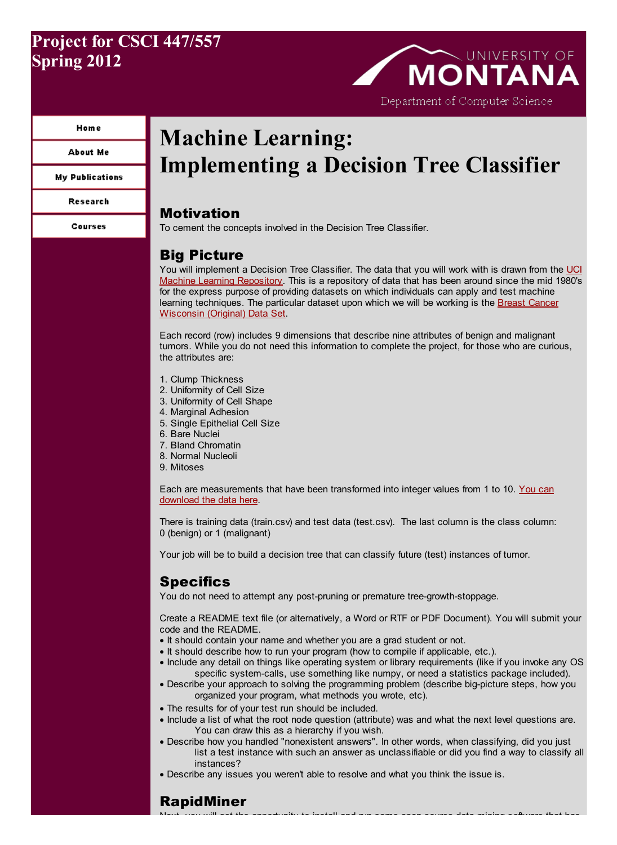## Project for CSCI 447/557 Spring 2012

# **MONTANA** Department of Computer Science

#### **Home**

**About Me** 

**My Publications** 

**Research** 

Courses

## Machine Learning: Implementing a Decision Tree Classifier

## Motivation

To cement the concepts involved in the Decision Tree Classifier.

## Big Picture

You will implement a Decision Tree Classifier. The data that you will work with is drawn from the UCI Machine Learning [Repository.](http://archive.ics.uci.edu/ml/) This is a repository of data that has been around since the mid 1980's for the express purpose of providing datasets on which individuals can apply and test machine learning [techniques.](http://archive.ics.uci.edu/ml/datasets/Breast+Cancer+Wisconsin+%28Original%29) The particular dataset upon which we will be working is the Breast Cancer Wisconsin (Original) Data Set.

Each record (row) includes 9 dimensions that describe nine attributes of benign and malignant tumors. While you do not need this information to complete the project, for those who are curious, the attributes are:

- 1. Clump Thickness
- 2. Uniformity of Cell Size
- 3. Uniformity of Cell Shape
- 4. Marginal Adhesion
- 5. Single Epithelial Cell Size
- 6. Bare Nuclei
- 7. Bland Chromatin
- 8. Normal Nucleoli
- 9. Mitoses

Each are [measurements](http://www.cs.umt.edu/~dougr/machLearnFiles/projects/p4/) that have been transformed into integer values from 1 to 10. You can download the data here.

There is training data (train.csv) and test data (test.csv). The last column is the class column: 0 (benign) or 1 (malignant)

Your job will be to build a decision tree that can classify future (test) instances of tumor.

## **Specifics**

You do not need to attempt any post-pruning or premature tree-growth-stoppage.

Create a README text file (or alternatively, a Word or RTF or PDF Document). You will submit your code and the README.

- · It should contain your name and whether you are a grad student or not.
- · It should describe how to run your program (how to compile if applicable, etc.).
- · Include any detail on things like operating system or library requirements (like if you invoke any OS specific system-calls, use something like numpy, or need a statistics package included).
- · Describe your approach to solving the programming problem (describe big-picture steps, how you organized your program, what methods you wrote, etc).
- · The results for of your test run should be included.
- · Include a list of what the root node question (attribute) was and what the next level questions are. You can draw this as a hierarchy if you wish.
- · Describe how you handled "nonexistent answers". In other words, when classifying, did you just list a test instance with such an answer as unclassifiable or did you find a way to classify all instances?

Next, you will get the opportunity to install and run some open source data mining software that has

· Describe any issues you weren't able to resolve and what you think the issue is.

## RapidMiner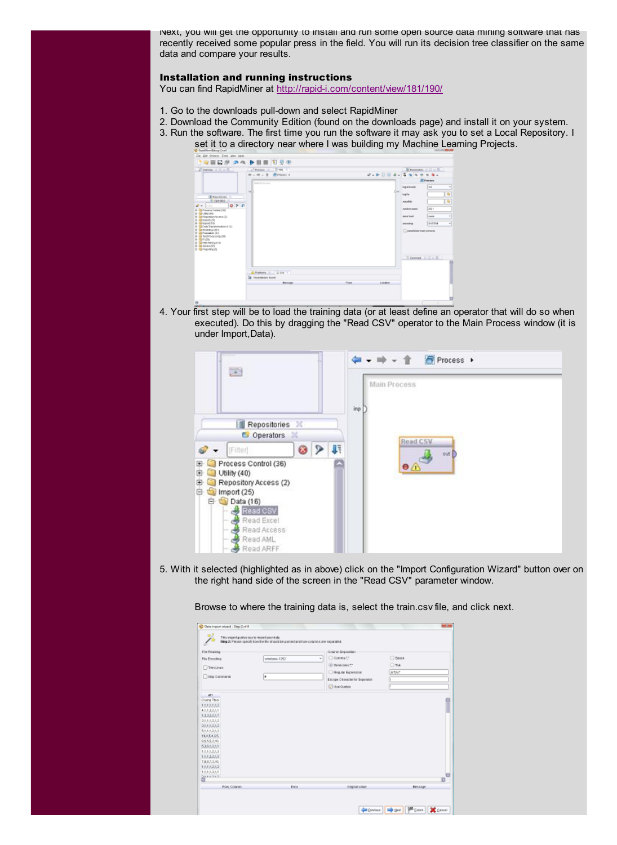Next, you will get the opportunity to install and run some open source data mining software that has recently received some popular press in the field. You will run its decision tree classifier on the same data and compare your results.

#### Installation and running instructions

You can find RapidMiner at <http://rapid-i.com/content/view/181/190/>

- 1. Go to the downloads pull-down and select RapidMiner
- 2. Download the Community Edition (found on the downloads page) and install it on your system.
- 3. Run the software. The first time you run the software it may ask you to set a Local Repository. I set it to a directory near where I was building my Machine Learning Projects.



4. Your first step will be to load the training data (or at least define an operator that will do so when executed). Do this by dragging the "Read CSV" operator to the Main Process window (it is under Import,Data).



5. With it selected (highlighted as in above) click on the "Import Configuration Wizard" button over on the right hand side of the screen in the "Read CSV" parameter window.

Browse to where the training data is, select the train.csv file, and click next.

| <b>Filters Lines</b><br>□ Skip Cammendo                                                                                                                                                                                                        | ٠ | Clowmatr.<br>٠<br>Gi zewonen :<br><b>C Reputar Expension</b><br>Escape Character for Seperator<br><b>M</b> Use Quetes | <b>C</b> Seare<br>Ona<br>JULIUS.<br>п |
|------------------------------------------------------------------------------------------------------------------------------------------------------------------------------------------------------------------------------------------------|---|-----------------------------------------------------------------------------------------------------------------------|---------------------------------------|
| Cluma Thick<br>1.51.51.52<br>4.5.1.3.2.5.1<br>13,23,25,7<br>2.5.1.5.2.5.2<br>2.51.5.2.5.2<br>5.1.1.1.2.1.2<br>184.54.3.5.<br>0.5552.00.<br>5365251<br>1.5.1.5.25.2<br>1.5.1.3.25.2<br>7.8.9.7.2.10.<br>1.51.525.2<br>1.5.1.5.2.5.1<br>SERRORD. |   |                                                                                                                       | $\mathbf{D}$                          |
|                                                                                                                                                                                                                                                |   |                                                                                                                       |                                       |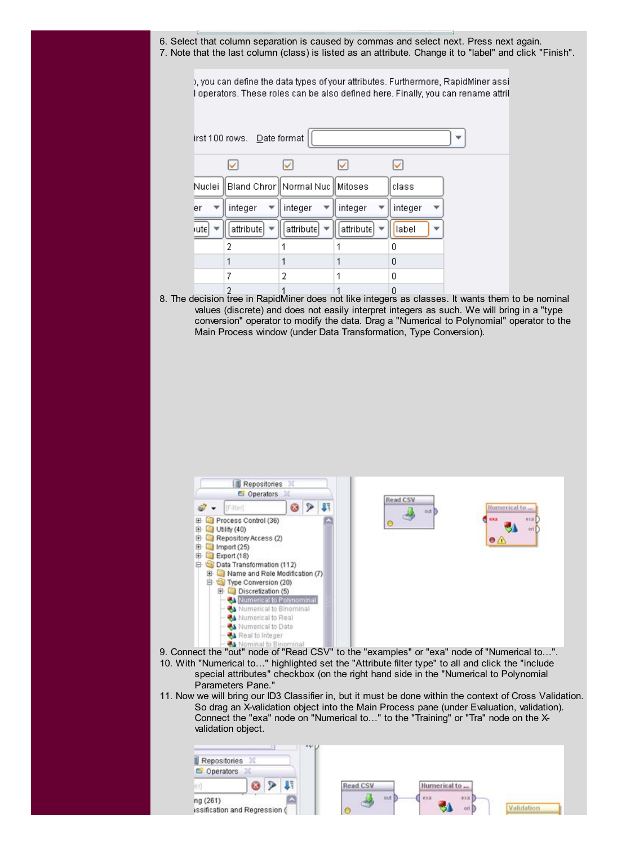6. Select that column separation is caused by commas and select next. Press next again. 7. Note that the last column (class) is listed as an attribute. Change it to "label" and click "Finish".

), you can define the data types of your attributes. Furthermore, RapidMiner assi I operators. These roles can be also defined here. Finally, you can rename attril

| Nuclei |           | Bland Chror    Normal Nuc    Mitoses |           | class   |  |
|--------|-----------|--------------------------------------|-----------|---------|--|
| er     | integer   | integer                              | integer   | integer |  |
| iutel  | attribute | attribute                            | attribute | label   |  |
|        | 2         |                                      |           | n       |  |
|        |           |                                      | 1         | 0       |  |
|        | 7         | 2                                    | 1         | 0       |  |
|        | 2         | 1                                    | 1         | n       |  |

8. The decision tree in RapidMiner does not like integers as classes. It wants them to be nominal values (discrete) and does not easily interpret integers as such. We will bring in a "type conversion" operator to modify the data. Drag a "Numerical to Polynomial" operator to the Main Process window (under Data Transformation, Type Conversion).



- 10. With "Numerical to…" highlighted set the "Attribute filter type" to all and click the "include special attributes" checkbox (on the right hand side in the "Numerical to Polynomial Parameters Pane."
- 11. Now we will bring our ID3 Classifier in, but it must be done within the context of Cross Validation. So drag an X-validation object into the Main Process pane (under Evaluation, validation). Connect the "exa" node on "Numerical to…" to the "Training" or "Tra" node on the Xvalidation object.

| Repositories   | may 12                        |                                            |
|----------------|-------------------------------|--------------------------------------------|
| Operators<br>G |                               |                                            |
|                |                               | Read CSV<br>Numerical to                   |
| ng (261)       | issification and Regression ( | aut  <br>kxa<br>流汇器<br>Validation<br>ort E |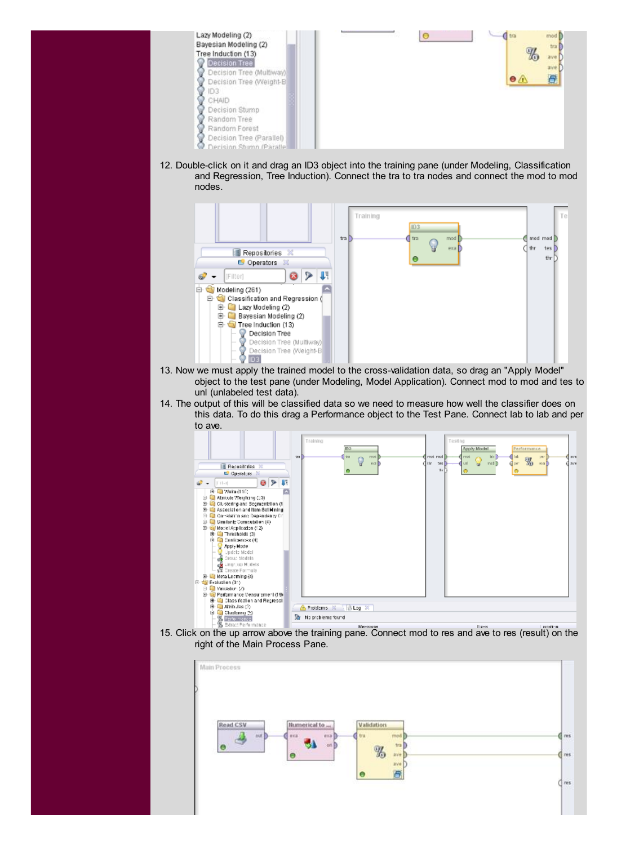

12. Double-click on it and drag an ID3 object into the training pane (under Modeling, Classification and Regression, Tree Induction). Connect the tra to tra nodes and connect the mod to mod nodes.



- 13. Now we must apply the trained model to the cross-validation data, so drag an "Apply Model" object to the test pane (under Modeling, Model Application). Connect mod to mod and tes to unl (unlabeled test data).
- 14. The output of this will be classified data so we need to measure how well the classifier does on this data. To do this drag a Performance object to the Test Pane. Connect lab to lab and per to ave.



15. Click on the up arrow above the training pane. Connect mod to res and ave to res (result) on the right of the Main Process Pane.

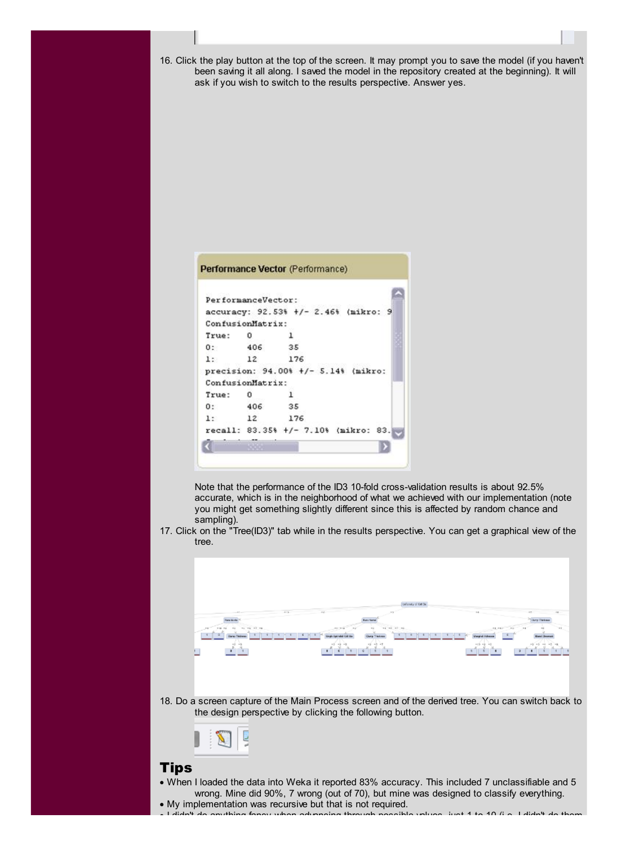- 16. Click the play button at the top of the screen. It may prompt you to save the model (if you haven't been saving it all along. I saved the model in the repository created at the beginning). It will ask if you wish to switch to the results perspective. Answer yes. Performance Vector (Performance) PerformanceVector: accuracy: 92.53% +/- 2.46% (mikro: 9 ConfusionMatrix: True: 0  $\mathbf 1$  $0:$ 406 35  $1:$  $12$ 176 precision: 94.00% +/- 5.14% (mikro: ConfusionMatrix: True:  $\circ$  $\mathbf{1}$ 406  $0:$ 35 176  $1:$  $12$ recall: 83.35% +/- 7.10% (mikro: 83. D Note that the performance of the ID3 10-fold cross-validation results is about 92.5% accurate, which is in the neighborhood of what we achieved with our implementation (note you might get something slightly different since this is affected by random chance and sampling).
- 17. Click on the "Tree(ID3)" tab while in the results perspective. You can get a graphical view of the tree.



18. Do a screen capture of the Main Process screen and of the derived tree. You can switch back to the design perspective by clicking the following button.



### Tips

- · When I loaded the data into Weka it reported 83% accuracy. This included 7 unclassifiable and 5 wrong. Mine did 90%, 7 wrong (out of 70), but mine was designed to classify everything. · My implementation was recursive but that is not required.
- · I didn't do anything fancy when advancing through possible values, just 1 to 10 (i.e. I didn't do them